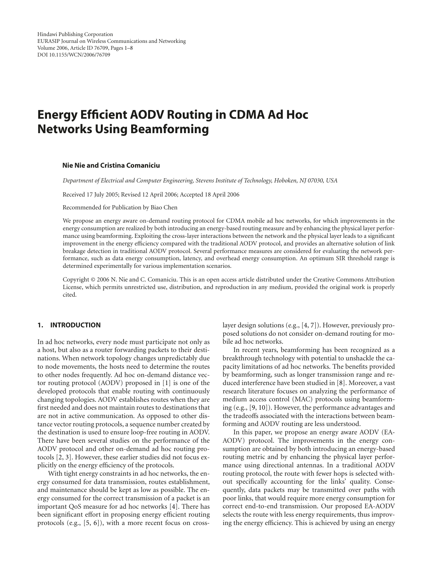# **Energy Efficient AODV Routing in CDMA Ad Hoc Networks Using Beamforming**

# **Nie Nie and Cristina Comaniciu**

*Department of Electrical and Computer Engineering, Stevens Institute of Technology, Hoboken, NJ 07030, USA*

Received 17 July 2005; Revised 12 April 2006; Accepted 18 April 2006

Recommended for Publication by Biao Chen

We propose an energy aware on-demand routing protocol for CDMA mobile ad hoc networks, for which improvements in the energy consumption are realized by both introducing an energy-based routing measure and by enhancing the physical layer performance using beamforming. Exploiting the cross-layer interactions between the network and the physical layer leads to a significant improvement in the energy efficiency compared with the traditional AODV protocol, and provides an alternative solution of link breakage detection in traditional AODV protocol. Several performance measures are considered for evaluating the network performance, such as data energy consumption, latency, and overhead energy consumption. An optimum SIR threshold range is determined experimentally for various implementation scenarios.

Copyright © 2006 N. Nie and C. Comaniciu. This is an open access article distributed under the Creative Commons Attribution License, which permits unrestricted use, distribution, and reproduction in any medium, provided the original work is properly cited.

# **1. INTRODUCTION**

In ad hoc networks, every node must participate not only as a host, but also as a router forwarding packets to their destinations. When network topology changes unpredictably due to node movements, the hosts need to determine the routes to other nodes frequently. Ad hoc on-demand distance vector routing protocol (AODV) proposed in [\[1\]](#page-7-1) is one of the developed protocols that enable routing with continuously changing topologies. AODV establishes routes when they are first needed and does not maintain routes to destinations that are not in active communication. As opposed to other distance vector routing protocols, a sequence number created by the destination is used to ensure loop-free routing in AODV. There have been several studies on the performance of the AODV protocol and other on-demand ad hoc routing protocols [\[2](#page-7-2), [3\]](#page-7-3). However, these earlier studies did not focus explicitly on the energy efficiency of the protocols.

With tight energy constraints in ad hoc networks, the energy consumed for data transmission, routes establishment, and maintenance should be kept as low as possible. The energy consumed for the correct transmission of a packet is an important QoS measure for ad hoc networks [\[4](#page-7-4)]. There has been significant effort in proposing energy efficient routing protocols (e.g., [\[5](#page-7-5), [6](#page-7-6)]), with a more recent focus on crosslayer design solutions (e.g., [\[4](#page-7-4), [7](#page-7-7)]). However, previously proposed solutions do not consider on-demand routing for mobile ad hoc networks.

In recent years, beamforming has been recognized as a breakthrough technology with potential to unshackle the capacity limitations of ad hoc networks. The benefits provided by beamforming, such as longer transmission range and reduced interference have been studied in [\[8](#page-7-8)]. Moreover, a vast research literature focuses on analyzing the performance of medium access control (MAC) protocols using beamforming (e.g., [\[9](#page-7-9), [10\]](#page-7-10)). However, the performance advantages and the tradeoffs associated with the interactions between beamforming and AODV routing are less understood.

In this paper, we propose an energy aware AODV (EA-AODV) protocol. The improvements in the energy consumption are obtained by both introducing an energy-based routing metric and by enhancing the physical layer performance using directional antennas. In a traditional AODV routing protocol, the route with fewer hops is selected without specifically accounting for the links' quality. Consequently, data packets may be transmitted over paths with poor links, that would require more energy consumption for correct end-to-end transmission. Our proposed EA-AODV selects the route with less energy requirements, thus improving the energy efficiency. This is achieved by using an energy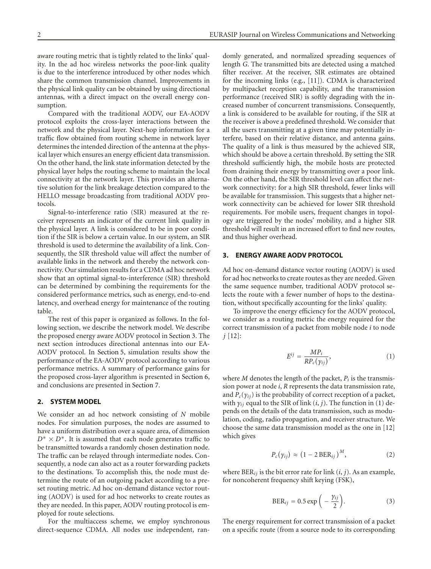aware routing metric that is tightly related to the links' quality. In the ad hoc wireless networks the poor-link quality is due to the interference introduced by other nodes which share the common transmission channel. Improvements in the physical link quality can be obtained by using directional antennas, with a direct impact on the overall energy consumption.

Compared with the traditional AODV, our EA-AODV protocol exploits the cross-layer interactions between the network and the physical layer. Next-hop information for a traffic flow obtained from routing scheme in network layer determines the intended direction of the antenna at the physical layer which ensures an energy efficient data transmission. On the other hand, the link state information detected by the physical layer helps the routing scheme to maintain the local connectivity at the network layer. This provides an alternative solution for the link breakage detection compared to the HELLO message broadcasting from traditional AODV protocols.

Signal-to-interference ratio (SIR) measured at the receiver represents an indicator of the current link quality in the physical layer. A link is considered to be in poor condition if the SIR is below a certain value. In our system, an SIR threshold is used to determine the availability of a link. Consequently, the SIR threshold value will affect the number of available links in the network and thereby the network connectivity. Our simulation results for a CDMA ad hoc network show that an optimal signal-to-interference (SIR) threshold can be determined by combining the requirements for the considered performance metrics, such as energy, end-to-end latency, and overhead energy for maintenance of the routing table.

The rest of this paper is organized as follows. In the following section, we describe the network model. We describe the proposed energy aware AODV protocol in [Section 3.](#page-1-0) The next section introduces directional antennas into our EA-AODV protocol. In [Section 5,](#page-3-0) simulation results show the performance of the EA-AODV protocol according to various performance metrics. A summary of performance gains for the proposed cross-layer algorithm is presented in [Section 6,](#page-6-0) and conclusions are presented in [Section 7.](#page-6-1)

#### **2. SYSTEM MODEL**

We consider an ad hoc network consisting of *N* mobile nodes. For simulation purposes, the nodes are assumed to have a uniform distribution over a square area, of dimension *D*<sup>∗</sup> × *D*<sup>∗</sup>. It is assumed that each node generates traffic to be transmitted towards a randomly chosen destination node. The traffic can be relayed through intermediate nodes. Consequently, a node can also act as a router forwarding packets to the destinations. To accomplish this, the node must determine the route of an outgoing packet according to a preset routing metric. Ad hoc on-demand distance vector routing (AODV) is used for ad hoc networks to create routes as they are needed. In this paper, AODV routing protocol is employed for route selections.

For the multiaccess scheme, we employ synchronous direct-sequence CDMA. All nodes use independent, randomly generated, and normalized spreading sequences of length *G*. The transmitted bits are detected using a matched filter receiver. At the receiver, SIR estimates are obtained for the incoming links (e.g., [\[11\]](#page-7-11)). CDMA is characterized by multipacket reception capability, and the transmission performance (received SIR) is softly degrading with the increased number of concurrent transmissions. Consequently, a link is considered to be available for routing, if the SIR at the receiver is above a predefined threshold. We consider that all the users transmitting at a given time may potentially interfere, based on their relative distance, and antenna gains. The quality of a link is thus measured by the achieved SIR, which should be above a certain threshold. By setting the SIR threshold sufficiently high, the mobile hosts are protected from draining their energy by transmitting over a poor link. On the other hand, the SIR threshold level can affect the network connectivity: for a high SIR threshold, fewer links will be available for transmission. This suggests that a higher network connectivity can be achieved for lower SIR threshold requirements. For mobile users, frequent changes in topology are triggered by the nodes' mobility, and a higher SIR threshold will result in an increased effort to find new routes, and thus higher overhead.

## <span id="page-1-0"></span>**3. ENERGY AWARE AODV PROTOCOL**

Ad hoc on-demand distance vector routing (AODV) is used for ad hoc networks to create routes as they are needed. Given the same sequence number, traditional AODV protocol selects the route with a fewer number of hops to the destination, without specifically accounting for the links' quality.

To improve the energy efficiency for the AODV protocol, we consider as a routing metric the energy required for the correct transmission of a packet from mobile node *i* to node *j* [\[12](#page-7-12)]:

<span id="page-1-1"></span>
$$
E^{ij} = \frac{MP_i}{RP_c(y_{ij})},\tag{1}
$$

where  $M$  denotes the length of the packet,  $P_i$  is the transmission power at node *i*, *R* represents the data transmission rate, and  $P_c(y_{ij})$  is the probability of correct reception of a packet, with *γij* equal to the SIR of link (*i*, *j*). The function in [\(1\)](#page-1-1) depends on the details of the data transmission, such as modulation, coding, radio propagation, and receiver structure. We choose the same data transmission model as the one in [\[12\]](#page-7-12) which gives

$$
P_c(\gamma_{ij}) \approx (1 - 2 \text{ BER}_{ij})^M, \qquad (2)
$$

where BER*ij* is the bit error rate for link (*i*, *j*). As an example, for noncoherent frequency shift keying (FSK),

$$
BER_{ij} = 0.5 \exp\left(-\frac{\gamma_{ij}}{2}\right).
$$
 (3)

The energy requirement for correct transmission of a packet on a specific route (from a source node to its corresponding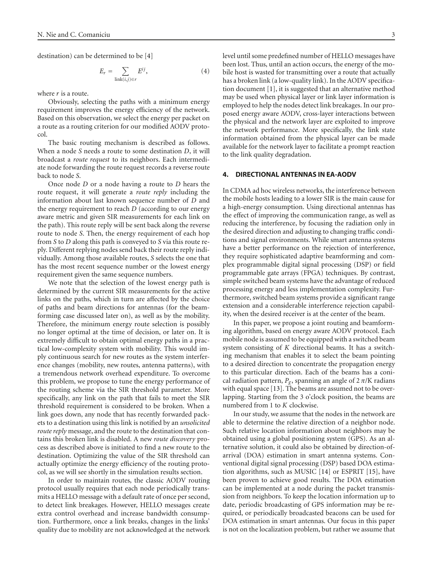destination) can be determined to be [\[4\]](#page-7-4)

$$
E_r = \sum_{\text{link}(i,j) \in r} E^{ij},\tag{4}
$$

where *r* is a route.

Obviously, selecting the paths with a minimum energy requirement improves the energy efficiency of the network. Based on this observation, we select the energy per packet on a route as a routing criterion for our modified AODV protocol.

The basic routing mechanism is described as follows. When a node *S* needs a route to some destination *D*, it will broadcast a *route request* to its neighbors. Each intermediate node forwarding the route request records a reverse route back to node *S*.

Once node *D* or a node having a route to *D* hears the route request, it will generate a *route reply* including the information about last known sequence number of *D* and the energy requirement to reach *D* (according to our energy aware metric and given SIR measurements for each link on the path). This route reply will be sent back along the reverse route to node *S*. Then, the energy requirement of each hop from *S* to *D* along this path is conveyed to *S* via this route reply. Different replying nodes send back their route reply individually. Among those available routes, *S* selects the one that has the most recent sequence number or the lowest energy requirement given the same sequence numbers.

We note that the selection of the lowest energy path is determined by the current SIR measurements for the active links on the paths, which in turn are affected by the choice of paths and beam directions for antennas (for the beamforming case discussed later on), as well as by the mobility. Therefore, the minimum energy route selection is possibly no longer optimal at the time of decision, or later on. It is extremely difficult to obtain optimal energy paths in a practical low-complexity system with mobility. This would imply continuous search for new routes as the system interference changes (mobility, new routes, antenna patterns), with a tremendous network overhead expenditure. To overcome this problem, we propose to tune the energy performance of the routing scheme via the SIR threshold parameter. More specifically, any link on the path that fails to meet the SIR threshold requirement is considered to be broken. When a link goes down, any node that has recently forwarded packets to a destination using this link is notified by an *unsolicited route reply* message, and the route to the destination that contains this broken link is disabled. A new *route discovery* process as described above is initiated to find a new route to the destination. Optimizing the value of the SIR threshold can actually optimize the energy efficiency of the routing protocol, as we will see shortly in the simulation results section.

In order to maintain routes, the classic AODV routing protocol usually requires that each node periodically transmits a HELLO message with a default rate of once per second, to detect link breakages. However, HELLO messages create extra control overhead and increase bandwidth consumption. Furthermore, once a link breaks, changes in the links' quality due to mobility are not acknowledged at the network

level until some predefined number of HELLO messages have been lost. Thus, until an action occurs, the energy of the mobile host is wasted for transmitting over a route that actually has a broken link (a low-quality link). In the AODV specification document [\[1](#page-7-1)], it is suggested that an alternative method may be used when physical layer or link layer information is employed to help the nodes detect link breakages. In our proposed energy aware AODV, cross-layer interactions between the physical and the network layer are exploited to improve the network performance. More specifically, the link state information obtained from the physical layer can be made available for the network layer to facilitate a prompt reaction to the link quality degradation.

## **4. DIRECTIONAL ANTENNAS IN EA-AODV**

In CDMA ad hoc wireless networks, the interference between the mobile hosts leading to a lower SIR is the main cause for a high-energy consumption. Using directional antennas has the effect of improving the communication range, as well as reducing the interference, by focusing the radiation only in the desired direction and adjusting to changing traffic conditions and signal environments. While smart antenna systems have a better performance on the rejection of interference, they require sophisticated adaptive beamforming and complex programmable digital signal processing (DSP) or field programmable gate arrays (FPGA) techniques. By contrast, simple switched beam systems have the advantage of reduced processing energy and less implementation complexity. Furthermore, switched beam systems provide a significant range extension and a considerable interference rejection capability, when the desired receiver is at the center of the beam.

In this paper, we propose a joint routing and beamforming algorithm, based on energy aware AODV protocol. Each mobile node is assumed to be equipped with a switched beam system consisting of *K* directional beams. It has a switching mechanism that enables it to select the beam pointing to a desired direction to concentrate the propagation energy to this particular direction. Each of the beams has a conical radiation pattern,  $P_{\varrho}$ , spanning an angle of  $2 \pi/K$  radians with equal space [\[13\]](#page-7-13). The beams are assumed not to be overlapping. Starting from the 3 o'clock position, the beams are numbered from 1 to *K* clockwise.

In our study, we assume that the nodes in the network are able to determine the relative direction of a neighbor node. Such relative location information about neighbors may be obtained using a global positioning system (GPS). As an alternative solution, it could also be obtained by direction-ofarrival (DOA) estimation in smart antenna systems. Conventional digital signal processing (DSP) based DOA estimation algorithms, such as MUSIC [\[14](#page-7-14)] or ESPRIT [\[15](#page-7-15)], have been proven to achieve good results. The DOA estimation can be implemented at a node during the packet transmission from neighbors. To keep the location information up to date, periodic broadcasting of GPS information may be required, or periodically broadcasted beacons can be used for DOA estimation in smart antennas. Our focus in this paper is not on the localization problem, but rather we assume that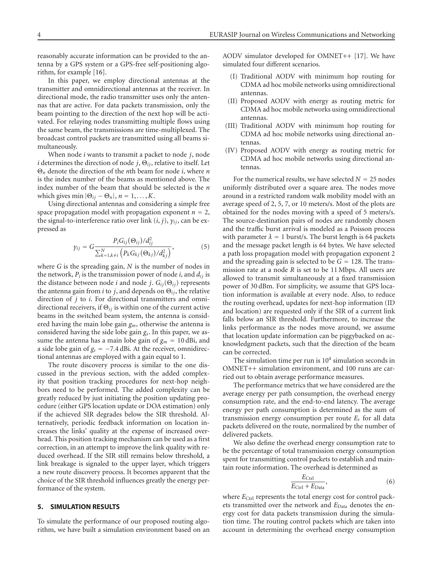reasonably accurate information can be provided to the antenna by a GPS system or a GPS-free self-positioning algorithm, for example [\[16\]](#page-7-16).

In this paper, we employ directional antennas at the transmitter and omnidirectional antennas at the receiver. In directional mode, the radio transmitter uses only the antennas that are active. For data packets transmission, only the beam pointing to the direction of the next hop will be activated. For relaying nodes transmitting multiple flows using the same beam, the transmissions are time-multiplexed. The broadcast control packets are transmitted using all beams simultaneously.

When node *i* wants to transmit a packet to node *j*, node *i* determines the direction of node *j*, Θ*ij*, relative to itself. Let Θ*<sup>n</sup>* denote the direction of the *n*th beam for node *i*, where *n* is the index number of the beams as mentioned above. The index number of the beam that should be selected is the *n* which gives min  $|\Theta_{ij} - \Theta_n|$ ,  $n = 1, ..., K$ .

Using directional antennas and considering a simple free space propagation model with propagation exponent  $n = 2$ , the signal-to-interference ratio over link  $(i, j)$ ,  $\gamma_{ij}$ , can be expressed as

$$
\gamma_{ij} = G \frac{P_i G_{ij}(\Theta_{ij})/d_{ij}^2}{\sum_{k=1, k \neq i}^{N} (P_k G_{kj}(\Theta_{kj})/d_{kj}^2)},
$$
(5)

where *G* is the spreading gain, *N* is the number of nodes in the network,  $P_i$  is the transmission power of node *i*, and  $d_{ij}$  is the distance between node *i* and node *j*.  $G_{ij}(\Theta_{ij})$  represents the antenna gain from *i* to *j*, and depends on Θ*ij*, the relative direction of *j* to *i*. For directional transmitters and omnidirectional receivers, if Θ*ij* is within one of the current active beams in the switched beam system, the antenna is considered having the main lobe gain *gm*, otherwise the antenna is considered having the side lobe gain *gs*. In this paper, we assume the antenna has a main lobe gain of  $g_m = 10$  dBi, and a side lobe gain of  $g_s = -7.4$  dBi. At the receiver, omnidirectional antennas are employed with a gain equal to 1.

The route discovery process is similar to the one discussed in the previous section, with the added complexity that position tracking procedures for next-hop neighbors need to be performed. The added complexity can be greatly reduced by just initiating the position updating procedure (either GPS location update or DOA estimation) only if the achieved SIR degrades below the SIR threshold. Alternatively, periodic feedback information on location increases the links' quality at the expense of increased overhead. This position tracking mechanism can be used as a first correction, in an attempt to improve the link quality with reduced overhead. If the SIR still remains below threshold, a link breakage is signaled to the upper layer, which triggers a new route discovery process. It becomes apparent that the choice of the SIR threshold influences greatly the energy performance of the system.

#### <span id="page-3-0"></span>**5. SIMULATION RESULTS**

To simulate the performance of our proposed routing algorithm, we have built a simulation environment based on an AODV simulator developed for OMNET++ [\[17](#page-7-17)]. We have simulated four different scenarios.

- (I) Traditional AODV with minimum hop routing for CDMA ad hoc mobile networks using omnidirectional antennas.
- (II) Proposed AODV with energy as routing metric for CDMA ad hoc mobile networks using omnidirectional antennas.
- (III) Traditional AODV with minimum hop routing for CDMA ad hoc mobile networks using directional antennas.
- (IV) Proposed AODV with energy as routing metric for CDMA ad hoc mobile networks using directional antennas.

For the numerical results, we have selected  $N = 25$  nodes uniformly distributed over a square area. The nodes move around in a restricted random walk mobility model with an average speed of 2, 5, 7, or 10 meters/s. Most of the plots are obtained for the nodes moving with a speed of 5 meters/s. The source-destination pairs of nodes are randomly chosen and the traffic burst arrival is modeled as a Poisson process with parameter  $\lambda = 1$  burst/s. The burst length is 64 packets and the message packet length is 64 bytes. We have selected a path loss propagation model with propagation exponent 2 and the spreading gain is selected to be  $G = 128$ . The transmission rate at a node *R* is set to be 11 Mbps. All users are allowed to transmit simultaneously at a fixed transmission power of 30 dBm. For simplicity, we assume that GPS location information is available at every node. Also, to reduce the routing overhead, updates for next-hop information (ID and location) are requested only if the SIR of a current link falls below an SIR threshold. Furthermore, to increase the links performance as the nodes move around, we assume that location update information can be piggybacked on acknowledgment packets, such that the direction of the beam can be corrected.

The simulation time per run is  $10<sup>4</sup>$  simulation seconds in OMNET++ simulation environment, and 100 runs are carried out to obtain average performance measures.

The performance metrics that we have considered are the average energy per path consumption, the overhead energy consumption rate, and the end-to-end latency. The average energy per path consumption is determined as the sum of transmission energy consumption per route  $E_r$  for all data packets delivered on the route, normalized by the number of delivered packets.

We also define the overhead energy consumption rate to be the percentage of total transmission energy consumption spent for transmitting control packets to establish and maintain route information. The overhead is determined as

$$
\frac{E_{\text{Ctrl}}}{E_{\text{Ctrl}} + E_{\text{Data}}},\tag{6}
$$

where  $E_{\text{Ctrl}}$  represents the total energy cost for control packets transmitted over the network and  $E_{Data}$  denotes the energy cost for data packets transmission during the simulation time. The routing control packets which are taken into account in determining the overhead energy consumption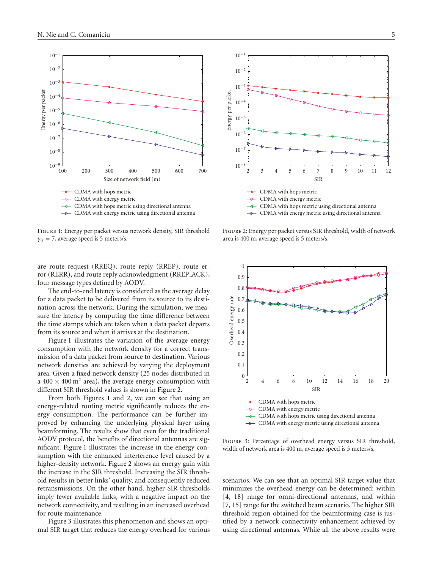

<span id="page-4-0"></span>Figure 1: Energy per packet versus network density, SIR threshold  $\gamma_{ij}$  = 7, average speed is 5 meters/s.

are route request (RREQ), route reply (RREP), route error (RERR), and route reply acknowledgment (RREP ACK), four message types defined by AODV.

The end-to-end latency is considered as the average delay for a data packet to be delivered from its source to its destination across the network. During the simulation, we measure the latency by computing the time difference between the time stamps which are taken when a data packet departs from its source and when it arrives at the destination.

[Figure 1](#page-4-0) illustrates the variation of the average energy consumption with the network density for a correct transmission of a data packet from source to destination. Various network densities are achieved by varying the deployment area. Given a fixed network density (25 nodes distributed in a  $400 \times 400$  m<sup>2</sup> area), the average energy consumption with different SIR threshold values is shown in [Figure 2.](#page-4-1)

From both Figures [1](#page-4-0) and [2,](#page-4-1) we can see that using an energy-related routing metric significantly reduces the energy consumption. The performance can be further improved by enhancing the underlying physical layer using beamforming. The results show that even for the traditional AODV protocol, the benefits of directional antennas are significant. [Figure 1](#page-4-0) illustrates the increase in the energy consumption with the enhanced interference level caused by a higher-density network. [Figure 2](#page-4-1) shows an energy gain with the increase in the SIR threshold. Increasing the SIR threshold results in better links' quality, and consequently reduced retransmissions. On the other hand, higher SIR thresholds imply fewer available links, with a negative impact on the network connectivity, and resulting in an increased overhead for route maintenance.

[Figure 3](#page-4-2) illustrates this phenomenon and shows an optimal SIR target that reduces the energy overhead for various



<span id="page-4-1"></span>Figure 2: Energy per packet versus SIR threshold, width of network area is 400 m, average speed is 5 meters/s.



<span id="page-4-2"></span>Figure 3: Percentage of overhead energy versus SIR threshold, width of network area is 400 m, average speed is 5 meters/s.

scenarios. We can see that an optimal SIR target value that minimizes the overhead energy can be determined: within [\[4,](#page-7-4) [18\]](#page-7-18) range for omni-directional antennas, and within [\[7,](#page-7-7) [15\]](#page-7-15) range for the switched beam scenario. The higher SIR threshold region obtained for the beamforming case is justified by a network connectivity enhancement achieved by using directional antennas. While all the above results were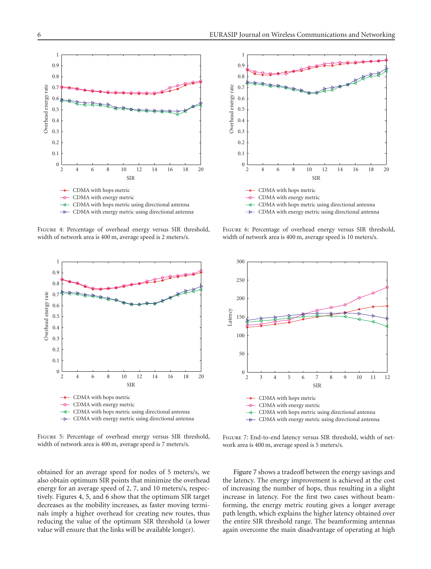

<span id="page-5-0"></span>Figure 4: Percentage of overhead energy versus SIR threshold, width of network area is 400 m, average speed is 2 meters/s.



<span id="page-5-1"></span>Figure 5: Percentage of overhead energy versus SIR threshold, width of network area is 400 m, average speed is 7 meters/s.

obtained for an average speed for nodes of 5 meters/s, we also obtain optimum SIR points that minimize the overhead energy for an average speed of 2, 7, and 10 meters/s, respectively. Figures [4,](#page-5-0) [5,](#page-5-1) and [6](#page-5-2) show that the optimum SIR target decreases as the mobility increases, as faster moving terminals imply a higher overhead for creating new routes, thus reducing the value of the optimum SIR threshold (a lower value will ensure that the links will be available longer).



<span id="page-5-2"></span>Figure 6: Percentage of overhead energy versus SIR threshold, width of network area is 400 m, average speed is 10 meters/s.



<span id="page-5-3"></span>Figure 7: End-to-end latency versus SIR threshold, width of network area is 400 m, average speed is 5 meters/s.

[Figure 7](#page-5-3) shows a tradeoff between the energy savings and the latency. The energy improvement is achieved at the cost of increasing the number of hops, thus resulting in a slight increase in latency. For the first two cases without beamforming, the energy metric routing gives a longer average path length, which explains the higher latency obtained over the entire SIR threshold range. The beamforming antennas again overcome the main disadvantage of operating at high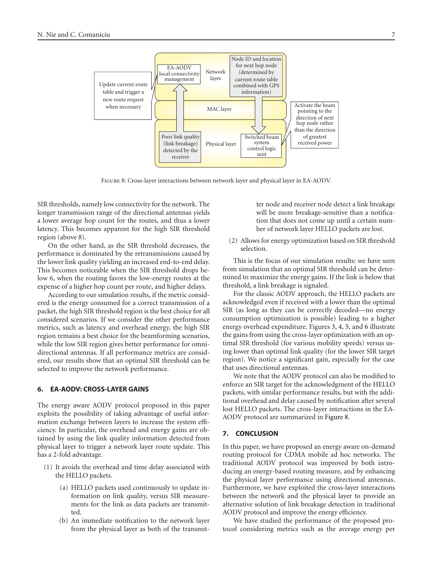

<span id="page-6-2"></span>Figure 8: Cross-layer interactions between network layer and physical layer in EA-AODV.

SIR thresholds, namely low connectivity for the network. The longer transmission range of the directional antennas yields a lower average hop count for the routes, and thus a lower latency. This becomes apparent for the high SIR threshold region (above 8).

On the other hand, as the SIR threshold decreases, the performance is dominated by the retransmissions caused by the lower link quality yielding an increased end-to-end delay. This becomes noticeable when the SIR threshold drops below 6, when the routing favors the low-energy routes at the expense of a higher hop count per route, and higher delays.

According to our simulation results, if the metric considered is the energy consumed for a correct transmission of a packet, the high SIR threshold region is the best choice for all considered scenarios. If we consider the other performance metrics, such as latency and overhead energy, the high SIR region remains a best choice for the beamforming scenarios, while the low SIR region gives better performance for omnidirectional antennas. If all performance metrics are considered, our results show that an optimal SIR threshold can be selected to improve the network performance.

## <span id="page-6-0"></span>**6. EA-AODV: CROSS-LAYER GAINS**

The energy aware AODV protocol proposed in this paper exploits the possibility of taking advantage of useful information exchange between layers to increase the system efficiency. In particular, the overhead and energy gains are obtained by using the link quality information detected from physical layer to trigger a network layer route update. This has a 2-fold advantage.

- (1) It avoids the overhead and time delay associated with the HELLO packets.
	- (a) HELLO packets used continuously to update information on link quality, versus SIR measurements for the link as data packets are transmitted.
	- (b) An immediate notification to the network layer from the physical layer as both of the transmit-

ter node and receiver node detect a link breakage will be more breakage-sensitive than a notification that does not come up until a certain number of network layer HELLO packets are lost.

(2) Allows for energy optimization based on SIR threshold selection.

This is the focus of our simulation results: we have seen from simulation that an optimal SIR threshold can be determined to maximize the energy gains. If the link is below that threshold, a link breakage is signaled.

For the classic AODV approach, the HELLO packets are acknowledged even if received with a lower than the optimal SIR (as long as they can be correctly decoded—no energy consumption optimization is possible) leading to a higher energy overhead expenditure. Figures [3,](#page-4-2) [4,](#page-5-0) [5,](#page-5-1) and [6](#page-5-2) illustrate the gains from using the cross-layer optimization with an optimal SIR threshold (for various mobility speeds) versus using lower than optimal link quality (for the lower SIR target region). We notice a significant gain, especially for the case that uses directional antennas.

We note that the AODV protocol can also be modified to enforce an SIR target for the acknowledgment of the HELLO packets, with similar performance results, but with the additional overhead and delay caused by notification after several lost HELLO packets. The cross-layer interactions in the EA-AODV protocol are summarized in [Figure 8.](#page-6-2)

#### <span id="page-6-1"></span>**7. CONCLUSION**

In this paper, we have proposed an energy aware on-demand routing protocol for CDMA mobile ad hoc networks. The traditional AODV protocol was improved by both introducing an energy-based routing measure, and by enhancing the physical layer performance using directional antennas. Furthermore, we have exploited the cross-layer interactions between the network and the physical layer to provide an alternative solution of link breakage detection in traditional AODV protocol and improve the energy efficiency.

We have studied the performance of the proposed protocol considering metrics such as the average energy per